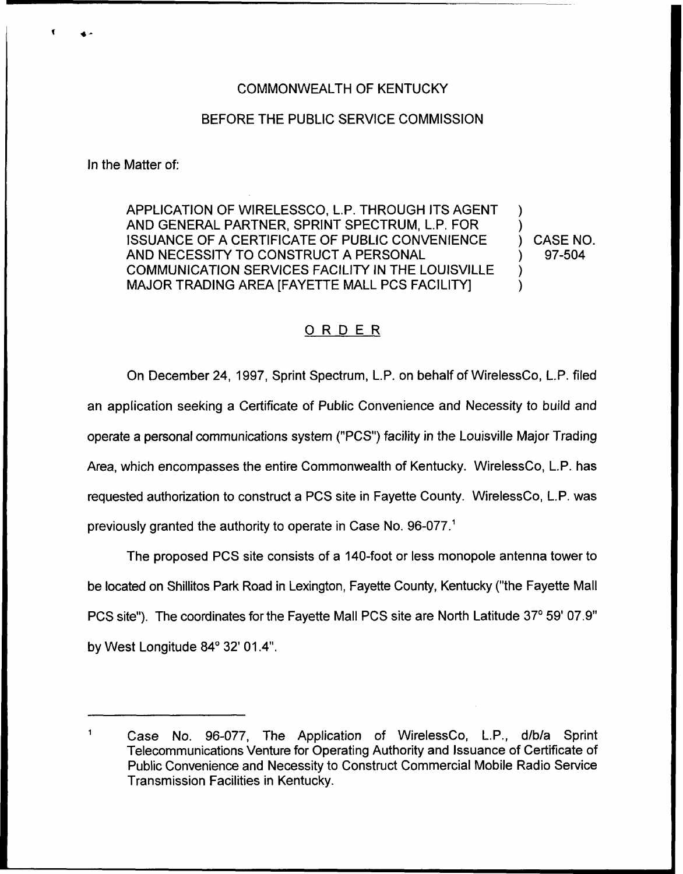## COMMONWEALTH OF KENTUCKY

## BEFORE THE PUBLIC SERVICE COMMISSION

In the Matter of:

APPLICATION OF WIRELESSCO, L.P. THROUGH ITS AGENT AND GENERAL PARTNER, SPRINT SPECTRUM, L.P. FOR ISSUANCE OF A CERTIFICATE OF PUBLIC CONVENIENCE AND NECESSITY TO CONSTRUCT A PERSONAL COMMUNICATION SERVICES FACILITY IN THE LOUISVILLE MAJOR TRADING AREA [FAYETTE MALL PCS FACILITY]

) CASE NO. ) 97-504

) )

) )

## ORDER

On December 24, 1997, Sprint Spectrum, L.P, on behalf of WirelessCo, L,P. filed an application seeking a Certificate of Public Convenience and Necessity to build and operate a personal communications system ("PCS") facility in the Louisville Major Trading Area, which encompasses the entire Commonwealth of Kentucky. WirelessCo, L.P. has requested authorization to construct a PCS site in Fayette County. WirelessCo, L.P. was previously granted the authority to operate in Case No. 96-077.<sup>1</sup>

The proposed PCS site consists of a 140-foot or less monopole antenna tower to be located on Shillitos Park Road in Lexington, Fayette County, Kentucky ("the Fayette Mall PCS site"). The coordinates for the Fayette Mall PCS site are North Latitude 37°59' 07.9" by West Longitude  $84^{\circ}$  32' 01.4".

Case No. 96-077, The Application of WirelessCo, L.P., d/b/a Sprint Telecommunications Venture for Operating Authority and Issuance of Certificate of Public Convenience and Necessity to Construct Commercial Mobile Radio Service Transmission Facilities in Kentucky.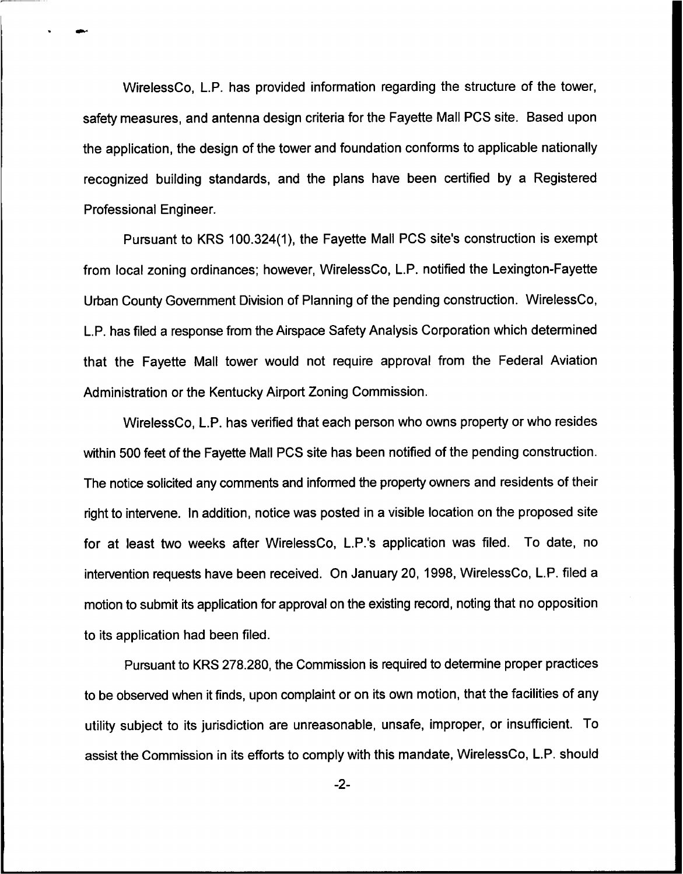WirelessCo, L.P. has provided information regarding the structure of the tower, safety measures, and antenna design criteria for the Fayette Mall PCS site. Based upon the application, the design of the tower and foundation conforms to applicable nationally recognized building standards, and the plans have been certified by a Registered Professional Engineer.

Pursuant to KRS 100.324(1), the Fayette Mall PCS site's construction is exempt from local zoning ordinances; however, WirelessCo, L.P. notified the Lexington-Fayette Urban County Government Division of Planning of the pending construction. WirelessCo, L.P. has filed a response from the Airspace Safety Analysis Corporation which determined that the Fayette Mall tower would not require approval from the Federal Aviation Administration or the Kentucky Airport Zoning Commission.

WirelessCo, L.P. has verified that each person who owns property or who resides within 500 feet of the Fayette Mall PCS site has been notified of the pending construction. The notice solicited any comments and informed the property owners and residents of their right to intervene. In addition, notice was posted in a visible location on the proposed site for at least two weeks after WirelessCo, L.P.'s application was filed. To date, no intervention requests have been received. On January 20, 1998, WirelessCo, L.P. filed a motion to submit its application for approval on the existing record, noting that no opposition to its application had been filed.

Pursuant to KRS 278.280, the Commission is required to determine proper practices to be observed when it finds, upon complaint or on its own motion, that the facilities of any utility subject to its jurisdiction are unreasonable, unsafe, improper, or insufficient. To assist the Commission in its efforts to comply with this mandate, WirelessCo, L.P. should

 $-2-$